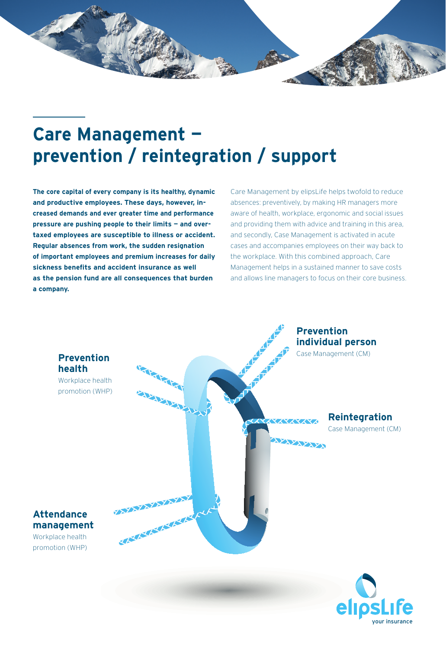

## **Care Management prevention / reintegration / support Care Management prevention/reintegration/support**

**The core capital of every company is its healthy, dynamic The core capital of every company is its healthy, and productive employees. These days, however, in-dynamic and productive employees. These days, creased demands and ever greater time and performance however, increased demands and ever greater time pressure are pushing people to their limits – and overtaxed employees are susceptible to illness or accident. limits — and overtaxed employees are susceptible Regular absences from work, the sudden resignation of important employees and premium increases for daily the sudden resignation of important employees and premium increases the premium increases in as the pension fund are all consequences that burden**<br>as the pension fund are all consequences that burden **a company. consequences that burden a company.**

Care Management by elipsLife helps twofold to reduce Care Management by elipsLife helps twofold to reduce absences: preventively, by making HR managers more absences: preventively, by making HR managers more aware of health, workplace, ergonomic and social issues aware of health, workplace, ergonomic and social issues and providing them with advice and training in this area, and providing them with advice and training in this area, and secondly, Case Management is activated in acute and secondly, Case Management is activated in acute cases cases and accompanies employees on their way back to the workplace. With this combined approach, Care management helps in a sustained manner to save costs Management helps in a sustained manner to save costs and allows line managers to focus on their core business. managers to focus on their core business.